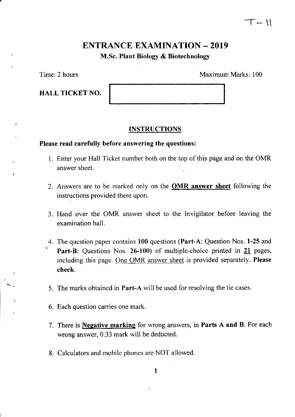## ENTRANCE EXAMINATION - 2019 M.Sc. Plant Biology & Biotechnology

Time: 2 hours

HALL TICKET NO.

Maximum Marks: 100

 $\mathsf{T}-\mathsf{U}$ 

## **INSTRUCTIONS**

### Please read carefully before answering the questions:

- 1. Enter your Hall Ticket number both on the top of this page and on the OMR answer sheet.
- 2. Answers are to be marked only on the **OMR answer sheet** following the instructions provided there upon.
- 3. Hand over the OMR answer sheet to the Invigilator before leaving the examination hall.
- 4. The question paper contains 100 questions (Part-A: Question Nos. 1-25 and Part-B: Questions Nos. 26-100) of multiple-choice printed in 21 pages, including this page. One OMR answer sheet is provided separately. Please check.
- 5. The marks obtained in Part-A will be used for resolving the tie cases.
- 6. Each question carries one mark.
- 7. There is **Negative marking** for wrong answers, in **Parts A and B**. For each wrong answer, 0.33 mark will be deducted.
- 8. Calculators and mobile phones are NOT allowed.

 $\mathbf{1}$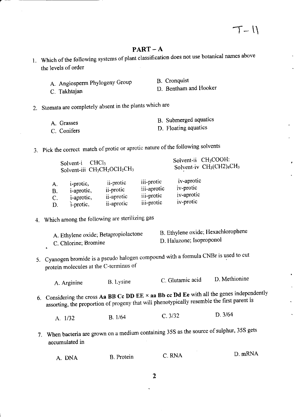## $PART-A$

- 1. Which of the following systems of plant classification does not use botanical names above the levels of order
	- A. Angiosperm Phylogeny Group B. Cronquist
	- C. Takhtajan D. Bentham and Hooker

2. Stomata are completely absent in the plants which are

| A. Grasses  | B. Submerged aquatics |
|-------------|-----------------------|
|             |                       |
| C. Conifers | D. Floating aquatics  |

3. Pick the correct match of protic or aprotic nature of the following solvents

|    | CHCl <sub>3</sub><br>Solvent-i | Solvent-iii CH <sub>3</sub> CH <sub>2</sub> OCH <sub>2</sub> CH <sub>3</sub> |             | Solvent-ii CH <sub>3</sub> COOH:<br>Solvent-iv CH <sub>3</sub> (CH2) <sub>4</sub> CH <sub>3</sub> |
|----|--------------------------------|------------------------------------------------------------------------------|-------------|---------------------------------------------------------------------------------------------------|
| А. | <i>i</i> -protic,              | ii-protic                                                                    | iii-protic  | iv-aprotic                                                                                        |
| B. | <i>i</i> -aprotic,             | ii-protic                                                                    | iii-aprotic | iv-protic                                                                                         |
| C. | <i>i</i> -aprotic,             | ii-aprotic                                                                   | iii-protic  | iv-aprotic                                                                                        |
| D. | <i>i</i> -protic,              | <i>ii</i> -aprotic                                                           | iii-protic  | iv-protic                                                                                         |

## 4. Which among the following are sterilizing gas

| A. Ethylene oxide; Betapropiolactone | B. Ethylene oxide; Hexachlorophene |  |  |
|--------------------------------------|------------------------------------|--|--|
| C. Chlorine; Bromine                 | D. Halazone; Isoproponol           |  |  |

5. Cyanogen bromide is a pseudo halogen compound with a formula CNBr is used to cut protein molecules at the C-terminus of

| A. Arginine | B. Lysine | C. Glutamic acid | D. Methionine |
|-------------|-----------|------------------|---------------|
|-------------|-----------|------------------|---------------|

6. Considering the cross Aa BB Cc DD EE  $\times$  aa Bb cc Dd Ee with all the genes independently assorting, the proportion of progeny that will phenotypically resemble the first parent is

A. 1/32 B. 1/64 C. 3/32 D. 3/64

7. When bacteria are grown on a medium containing 35S as the source of sulphur, 35S gets accumulated in

| A. DNA | B. Protein | C. RNA | D. mRNA |
|--------|------------|--------|---------|
|--------|------------|--------|---------|

1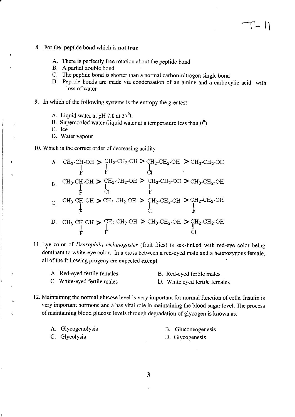- 8. For the peptide bond which is not true
	- A. There is perfectly free rotation about the peptide bond
	- B. A partial double bond
	- C. The peptide bond is shorter than a normal carbon-nitrogen single bond
	- D. Peptide bonds are made via condensation of an amine and a carboxylic acid with loss of water
- 9. In which of the following systems is the entropy the greatest
	- A. Liquid water at pH 7.0 at  $37^0C$
	- B. Supercooled water (liquid water at a temperature less than  $0^0$ )
	- C. Ice
	- D. Water vapour

10. Which is the correct order of decreasing acidity

|               |  | A. CH <sub>3</sub> -CH-OH > CH <sub>2</sub> -CH <sub>2</sub> -OH > CH <sub>2</sub> -CH <sub>2</sub> -OH > CH <sub>3</sub> -CH <sub>2</sub> -OH                                                                                         |                                                                                                                                                                                                                                                                                                                                                                                                                                                                                                                                                                                                                                           |
|---------------|--|----------------------------------------------------------------------------------------------------------------------------------------------------------------------------------------------------------------------------------------|-------------------------------------------------------------------------------------------------------------------------------------------------------------------------------------------------------------------------------------------------------------------------------------------------------------------------------------------------------------------------------------------------------------------------------------------------------------------------------------------------------------------------------------------------------------------------------------------------------------------------------------------|
| $\mathbf B$ . |  | $\mathrm{CH_3\text{-}CH\text{-}OH}\,\boldsymbol{\geqslant}\, \mathrm{^C\!H_2\text{-}CH_2\text{-}OH}\,\boldsymbol{\geqslant}\, \mathrm{^C\!H_2\text{-}CH_2\text{-}OH}\,\boldsymbol{\geqslant}\, \mathrm{^C\!H_3\text{-}CH_2\text{-}OH}$ |                                                                                                                                                                                                                                                                                                                                                                                                                                                                                                                                                                                                                                           |
|               |  | $CH_3\text{-CH}_3\text{-CH}_3\text{-CH}_2\text{-OH} > CH_2\text{-CH}_2\text{-CH}_2\text{-CH} > CH_2\text{-CH}_2\text{-OH}$                                                                                                             |                                                                                                                                                                                                                                                                                                                                                                                                                                                                                                                                                                                                                                           |
|               |  |                                                                                                                                                                                                                                        | D. CH <sub>3</sub> -CH <sub>2</sub> -CH <sub>2</sub> -CH <sub>2</sub> -CH <sub>2</sub> -CH <sub>2</sub> -CH <sub>3</sub> -CH <sub>2</sub> -CH <sub>2</sub> -CH <sub>2</sub> -CH <sub>2</sub> -CH <sub>2</sub> -CH <sub>2</sub> -CH <sub>2</sub> -CH <sub>2</sub> -CH <sub>2</sub> -CH <sub>2</sub> -CH <sub>2</sub> -CH <sub>2</sub> -CH <sub>2</sub> -CH <sub>2</sub> -CH <sub>2</sub> -CH <sub>2</sub> -CH <sub>2</sub> -CH <sub>2</sub> -CH <sub>2</sub> -CH <sub>2</sub> -CH <sub>2</sub> -CH <sub>2</sub> -CH <sub>2</sub> -CH <sub>2</sub> -CH <sub>2</sub> -CH <sub>2</sub> -CH <sub>2</sub> -CH <sub>2</sub> -CH <sub>2</sub> -CH |

11. Eye color of *Drosophila melanogaster* (fruit flies) is sex-linked with red-eye color being dominant to white-eye color. In a cross between a red-eyed male and a heterozygous female, all of the following progeny are expected except

| A. Red-eyed fertile females | B. Red-eyed fertile males |
|-----------------------------|---------------------------|
|                             |                           |

- C. White-eyed fertile males D. White eyed fertile females
- 12. Maintaining the normal glucose level is very important for normal function of cells. Insulin is very important hormone and a has vital role in maintaining the blood sugar level. The process of maintaining blood glucose levels through degradation of glycogen is known as:

| A. Glycogenolysis | B. Gluconeogenesis |
|-------------------|--------------------|
| C. Glycolysis     | D. Glycogenesis    |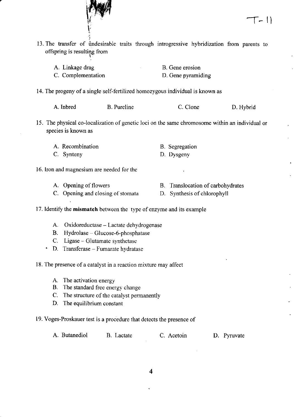- .ii 13. The transfer of undesirable traits through introgressive hybridization from parents to offspring is resultiqg from
	- A. Linkage drag C. Complementation B. Gene erosion D. Gene pyramiding
- 14. The progeny of a single self-fertilized homozygous individual is known as

| A. Inbred | <b>B.</b> Pureline | C. Clone | D. Hybrid |
|-----------|--------------------|----------|-----------|
|-----------|--------------------|----------|-----------|

15. The physical co-localization of genetic loci on the same chromosome within an individual or species is known as

D. Dysgeny

- A. Recombination B. Segregation
- C. Synteny
- 16. Iron and magnesium are needed for the

I t/

A. Opening of flowers

- B. Translocation of carbohydrates
- C. Opening and closing of stomata
- D. Synthesis of chlorophyll
- <sup>I</sup>7. Identify the mismatch between the type of enzyme and its example
	- A. Oxidoreductase Lactate dehydrogenase
	- $B.$  Hydrolase Glucose-6-phosphatase
	- C. Ligase Glutamate synthetase
	- ' D. Transferase Fumarate hvdratase

18. The presence of a catalyst in a reaction mixture may affect

- A. The activation energy
- B. The standard free energy change
- C. The structure of the catalyst permanently
- D. The equilibrium constant
- 19. Voges-Proskauer test is a procedure that detects the presence of

|  | A. Butanediol | B. Lactate | C. Acetoin | D. Pyruvate |
|--|---------------|------------|------------|-------------|
|--|---------------|------------|------------|-------------|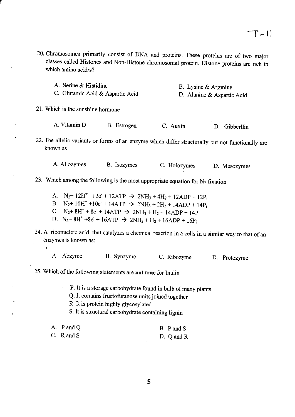20. chromosomes primarily consist of DNA and proteins. These proteins are of two major classes called Histones and Non-Histone chromosomal protein. Histone proteins are rich in which amino acid/s?

| A. Serine & Histidine            | B. Lysine & Arginine       |
|----------------------------------|----------------------------|
| C. Glutamic Acid & Aspartic Acid | D. Alanine & Aspartic Acid |

21. Which is the sunshine hormone

| A. Vitamin D | B. Estrogen | C. Auxin | D. Gibberllin |
|--------------|-------------|----------|---------------|
|              |             |          |               |

22. The allelic variants or forms of an enzyme which differ structurally but not functionally are known as

A. Allozymes B. Isozymes C. Holozymes D. Mesozymes

- 23. Which among the following is the most appropriate equation for  $N_2$  fixation
	- A.  $N_2$ + 12H<sup>+</sup> +12e<sup>-</sup> + 12ATP  $\rightarrow$  2NH<sub>3</sub> + 4H<sub>2</sub> + 12ADP + 12P<sub>i</sub>
	- B. N<sub>2</sub>+ 10H<sup>+</sup> +10e<sup>-</sup> + 14ATP  $\rightarrow$  2NH<sub>3</sub> + 2H<sub>2</sub><sup>'</sup> + 14ADP + 14P<sub>i</sub><br>C. N<sub>2</sub>+ 8H<sup>+</sup> + 8e<sup>-</sup> + 14ATP  $\rightarrow$  2NH<sub>3</sub> + H<sub>2</sub> + 14ADP + 14P<sub>i</sub>
	-
	- D.  $N_2$ + 8H<sup>+</sup> +8e<sup>-</sup> + 16ATP  $\rightarrow$  2NH<sub>3</sub> + H<sub>2</sub> + 16ADP + 16P<sub>i</sub>
- 24. A ribonucleic acid that catalyzes a chemical reaction in a cells in a similar way to that of an enzymes is known as:
	- A. Abzyme B. Synzyme C. Ribozyme D. protozyme
- 25. Which of the following statements are not true for Inulin

P. It is a storage carbohydrate found in bulb of many plants

Q. It contains fructofuranose units joined together

R. It is protein highly glycosylated

S. It is structural carbohydrate containing lignin

| A. P and Q | B. P and S     |
|------------|----------------|
| C. R and S | D. $Q$ and $R$ |

5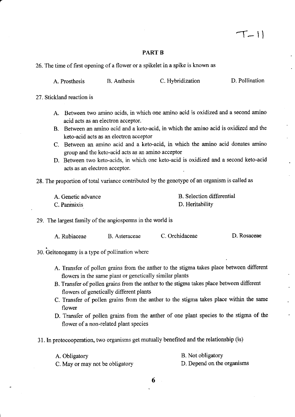#### PART B

26. The time of first opening of a flower or a spikelet in a spike is known as

| A. Prosthesis | <b>B.</b> Anthesis | C. Hybridization | D. Pollination |
|---------------|--------------------|------------------|----------------|
|               |                    |                  |                |

27. Stickland reaction is

- A. Between two amino acids, in which one amino acid is oxidized and a second amino acid acts as an electron acceptor.
- B. Between an amino acid and a keto-acid, in which the amino acid is oxidized and the keto-acid acts as an electron acceptor
- C. Between an amino acid and a keto-acid, in which the amino acid donates amino group and the keto-acid acts as an amino acceptor
- D. Between two keto-acids, in which one keto-acid is oxidized and a second keto-acid acts as an electron acceptor.
- 28. The proportion of total variance contributed by the genotype of an organism is called as

| A. Genetic advance | B. Selection differential |
|--------------------|---------------------------|
| C. Panmixis        | D. Heritability           |

29. The largest family of the angiosperms in the world is

| A. Rubiaceae | B. Asteraceae | C. Orchidaceae | D. Rosaceae |
|--------------|---------------|----------------|-------------|
|              |               |                |             |

30. Geitonogamy is a type of pollination where

- A. Transfer of pollen grains from the anther to the stigma takes place between different flowers in the same plant or genetically similar plants
- B. Transfer of pollen grains from the anther to the stigma takes place between different flowers of genetically different plants
- C. Transfer of pollen grains from the anther to the stigma takes place within the same flower
- D. Transfer of pollen grains from the anther of one plant species to the stigma of the flower of a non-related plant species
- 3l . In protocooperation, two organisms get mutually benefited and the relationship (is)

| A. Obligatory                   | B. Not obligatory          |
|---------------------------------|----------------------------|
| C. May or may not be obligatory | D. Depend on the organisms |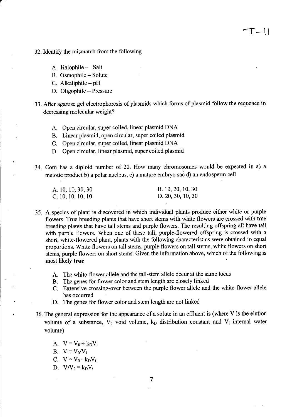- 32. Identify the mismatch from the following
	- A Halophile- Salt

a

- B. Osmophile Solute
- C. Alkaliphile  $-pH$
- D. Oligophile Pressure
- 33. After agarose gel electrophoresis of plasmids which forms of plasmid follow the sequence in decreasing molecular weight?

 $T ||$ 

- A. Open circular, super coiled, linear plasmid DNA
- B. Linear plasmid, open circular, super coiled plasmid
- C. Open circular, super coiled, linear plasmid DNA
- D. Open cireular, linear plasmid, super coiled plasmid
- 34. Com has a diploid number of 20. How many chromosomes would be expected in a) <sup>a</sup> meiotic product b) a polar nucleus, c) a mature embryo sac d) an endosperm cell

| A. 10, 10, 30, 30   | B. 10, 20, 10, 30   |
|---------------------|---------------------|
| C. $10, 10, 10, 10$ | D. $20, 30, 10, 30$ |

- 35. A species of plant is discovered in which individual plants produce either white or purple flowers. True breeding plants that have short stems with white flowers are crossed with true breeding plants that have tall stems and purple flowers. The resulting offspring all have tall with purple flowers. When one of these tall, purple-flowered offspring is crossed with <sup>a</sup> short, white-flowered plant, plants with the following characteristics were obtained in equal proportions. White flowers on tall stems, purple flowers on tall stems, white flowers on short stems, purple flowers on short stems. Given the information above, which of the following is most likely true
	- A. The white-flower allele and the tall-stem allele occur at the same locus
	- B. The genes for flower color and stem length are closely linked
	- C. Extensive crossing-over between the purple flower allele and the white-flower allele has occurred
	- D. The genes for flower color and stem length are not linked
- 36. The general expression for the appearance of a solute in an effluent is (where  $V$  is the elution volume of a substance,  $V_0$  void volume,  $k_D$  distribution constant and  $V_i$  internal water volume)
	- A.  $V = V_0 + k_D V_1$
	- B.  $V = V_0/V_i$
	- C.  $V = V_0 k_D V_i$
	- D.  $V/V_0 = k_D V_i$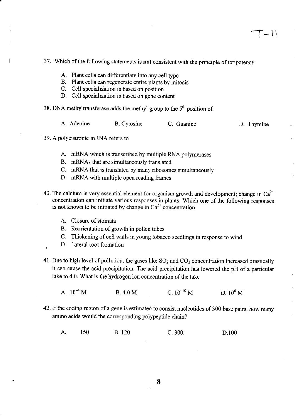## 37. Which of the following statements is not consistent with the principle of totipotency

- A. Plant cells can differentiate into any cell type
- B. Plant cells can regenerate entire plants by mitosis
- C. Cell specialization is based on position
- D. Cell specialization is based on gene content

38. DNA methyltransferase adds the methyl group to the  $5<sup>th</sup>$  position of

| A. Adenine | <b>B.</b> Cytosine | C. Guanine | D. Thymine |
|------------|--------------------|------------|------------|
|            |                    |            |            |

- 39. A polycistronic mRNA refers to
	- A. mRNA which is transcribed by multiple RNA polymerases
	- B. mRNAs that are simultaneously translated
	- C. mRNA that is translated by many ribosomes simultaneously
	- D. mRNA with multiple open reading frames
- 40. The calcium is very essential element for organism growth and development; change in  $Ca^{2+}$ concentration can initiate various responses in plants. Which one of the following responses is **not** known to be initiated by change in  $Ca^{2+}$  concentration
	- A. Closure of stomata
	- B. Reorientation of growth in pollen tubes
	- C. Thickening of cell walls in young tobacco seedlings in response to wind
	- D. Lateral root formation
- 41. Due to high level of pollution, the gases like  $SO<sub>2</sub>$  and  $CO<sub>2</sub>$  concentration increased drastically it can cause the acid precipitation. The acid precipitation has lowered the pH of a paxticular lake to 4.0. What is the hydrogen ion concentration of the lake
	- A.  $10^{-4}$  M B. 4.0 M C.  $10^{-10}$  M D.  $10^{4}$  M
- 42. If the coding region of a gene is estimated to consist nucleotides of 300 base pairs, how many amino acids would the corresponding polypeptide chain?
	- A. 150 B. 120 C. 300. D.100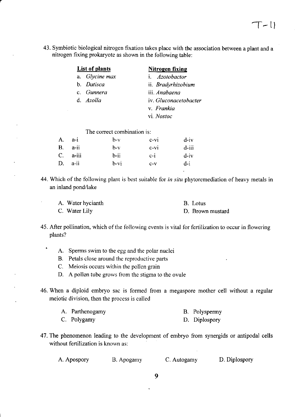43. Symbiotic biological nitrogen fixation takes place with the association between a plant and a nitrogen fixing prokaryote as shown in the following table:

| List of plants |                             | Nitrogen fixing              |
|----------------|-----------------------------|------------------------------|
|                | a. Glycine max              | i. <i>Azotobactor</i>        |
|                | b. <i>Datisca</i>           | ii. Bradyrhizobium           |
|                | c. Gunnera                  | iii. <i>Anabaena</i>         |
| d. Azolla      |                             | iv. <i>Gluconacetobacter</i> |
|                |                             | v. <i>Frankia</i>            |
|                |                             | vi. Nostoc                   |
|                | The correct combination is: |                              |

|           | 1110 0011001 001110111011011 19. |         |        |         |  |
|-----------|----------------------------------|---------|--------|---------|--|
| A.        | $a-i$                            | $b-v$   | $c-vi$ | $d$ -iv |  |
| <b>B.</b> | a-ii                             | $h-v$   | $c-vi$ | d-iii   |  |
|           | $C.$ a-iii                       | $b$ -ii | $c-i$  | $d$ -iv |  |
| D.        | a-ii                             | $b-vt$  | $C-V$  | $d-i$   |  |
|           |                                  |         |        |         |  |

44. Which of the following plant is best suitable for *in situ* phytoremediation of heavy metals in an inland pond/lake

| A. Water hycianth | B. Lotus         |
|-------------------|------------------|
| C. Water Lily     | D. Brown mustard |

- 45. After pollination, which of the following events is vital for fertilization to occur in flowering plants?
	- A. Sperms swim to the egg and the polar nuclei
		- B. Petals close around the reproductive parts
		- C. Meiosis occurs within the pollen grain
	- D. A pollen tube grows from the stigma to the ovule
- 46. When a diploid embryo sac is formed from a megaspore mother cell without a regular meiotic division, then the process is called

| A. Parthenogamy | B. Polyspermy |
|-----------------|---------------|
| C. Polygamy     | D. Diplospory |

47. The phenomenon leading to the development of embryo from synergids or antipodal cells without fertilization is known as:

A. Apospory B. Apogamy C. Autogamy D. Diplospory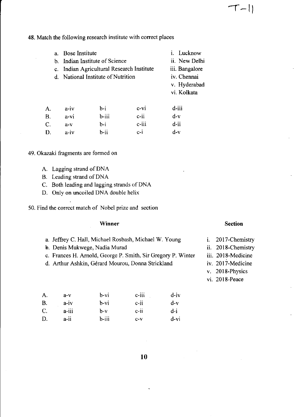48. Match the following research institute with correct places

| а.          | Bose Institute |                                        |                          | i. Lucknow     |
|-------------|----------------|----------------------------------------|--------------------------|----------------|
|             |                | b. Indian Institute of Science         |                          | ii. New Delhi  |
| $c_{\cdot}$ |                | Indian Agricultural Research Institute |                          | iii. Bangalore |
|             |                | d. National Institute of Nutrition     |                          | iv. Chennai    |
|             |                |                                        |                          | v. Hyderabad   |
|             |                |                                        |                          | vi. Kolkata    |
| A.          | $a - iv$       | b-i                                    | $c-vi$                   | d-iii          |
| D           | 27.78          | <b>L :::</b>                           | $\sim$ $\ddot{\text{a}}$ | a - v          |

d-v d-ii d-v B. c. D. a-vi a-v a-iv b-iii b-i b-ii c-ii c-iii c-i

49. Okazaki fragments are formed on

- A. Lagging strand of DNA
- B. Leading strand of DNA
- C. Both leading and lagging strands of DNA
- D. Only on uncoiled DNA double helix

50. Find the correct match of Nobel prize and section

#### Winner

- a. Jeffrey C. Hall, Michael Rosbash, Michael W. Young
- b. Denis Mukwege, Nadia Murad
- c. Frances H. Amold, George P. Smith, Sir Gregory P. Winter
- d. Arthur Ashkin, Gérard Mourou, Donna Strickland

| А. | $a-v$    | b-vi  | $c$ -iii | $d - iv$ |
|----|----------|-------|----------|----------|
| В. | $a - iv$ | b-vi  | $c - ii$ | d-v      |
| C. | $a-111$  | b-v   | $c$ -ii  | d-i      |
| D. | a-ii     | b-iii | $C-V$    | d-vi     |

### Section

 $T-11$ 

- 2017-Chemistry l.
- ii. 2018-Chemistry
- iii. 2018-Medicine
- iv. 2017-Medicine
- 2018-Physics
- vi. 2018-Peace

10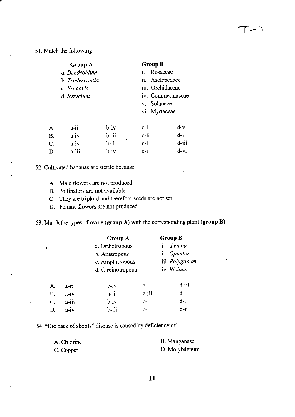51. Match the following

|           | <b>Group A</b>         |          |                  | <b>Group B</b>    |       |
|-----------|------------------------|----------|------------------|-------------------|-------|
|           | a. Dendrobium          |          |                  | Rosaceae          |       |
|           | h. <i>Tradescantia</i> |          |                  | ii. Asclepedace   |       |
|           | c. Fragaria            |          | iii. Orchidaceae |                   |       |
|           | d. Syzygium            |          |                  | iv. Commelinaceae |       |
|           |                        |          |                  | v. Solanace       |       |
|           |                        |          |                  | vi. Myrtaceae     |       |
| А.        | $a$ -ii                | $b - iv$ | $C-1$            |                   | d-v   |
| <b>B.</b> | $a-iv$                 | $b$ -iii | $c$ -ii          |                   | $d-i$ |
| C.        | a-iv                   | $b$ -ii  | $c-i$            |                   | d-iii |
| D.        | a-iii                  | b-iv     | $c-i$            |                   | d-vi  |

52. Cultivated bananas are sterile because

- A. Male flowers are not produced
- B. Pollinators are not available

C. They are triploid and therefore seeds are not set

D. . Female flowers are not produced

53. Match the types of ovule (group A) with the corresponding plant (group  $B$ )

|        | <b>Group A</b>    |       | <b>Group B</b> |  |
|--------|-------------------|-------|----------------|--|
|        | a. Orthotropous   |       | Lemna<br>i.    |  |
|        | b. Anatropous     |       | ii. Opuntia    |  |
|        | c. Amphitropous   |       | iii. Polygonum |  |
|        | d. Circinotropous |       | iv. Ricinus    |  |
| a-ii   | $b - iv$          | $c-i$ | d-iii          |  |
| $a-iv$ | $b - ii$          | c-iii | $d-i$          |  |
| a-iii  | $b - iv$          | $c-i$ | d-ii           |  |
| a-iv   | b-iii             | $c-i$ | d-ii           |  |
|        |                   |       |                |  |

54. "Die back of shoots" disease is caused by deficiency of

| A. Chlorine | <b>B.</b> Manganese |
|-------------|---------------------|
| C. Copper   | D. Molybdenum       |

 $\ddot{\phantom{0}}$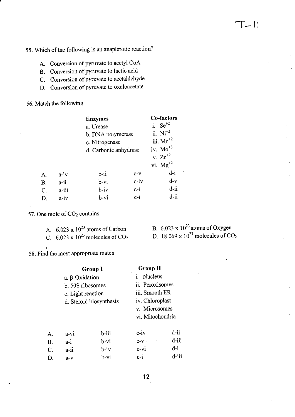- 55. Which of the following is an anaplerotic reaction?
	- A. Conversion of pymvate to acetyl CoA
	- B. Conversion of pynrvate to lactic acid
	- C. Conversion of pyruvate to acetaldehyde
	- D. Conversion of pyruvate to oxaloacetate

## 56. Match the following

|           |       | <b>Enzymes</b><br>a. Urease<br>b. DNA polymerase<br>c. Nitrogenase |        | Co-factors<br>i. $\text{Se}^{+2}$<br>ii. $Ni+2$<br>iii. $Mn^{2}$ |
|-----------|-------|--------------------------------------------------------------------|--------|------------------------------------------------------------------|
|           |       | d. Carbonic anhydrase                                              |        | iv. $Mo^{+3}$<br>v. $\text{Zn}^{+2}$<br>vi. $Mg^{+2}$            |
| А.        | a-iv  | $b$ -ii                                                            | $C-V$  | $d-i$                                                            |
| <b>B.</b> | a-ii  | $b-vi$                                                             | $c-iv$ | $d-v$                                                            |
| C.        | a-iii | $b - iv$                                                           | $c-i$  | $d$ -ii                                                          |
| D.        | a-iv  | b-vi                                                               | $c-i$  | d-ii                                                             |

57. One mole of CO<sub>2</sub> contains

| A. $6.023 \times 10^{23}$ atoms of Carbon         |
|---------------------------------------------------|
| C. 6.023 x $10^{23}$ molecules of CO <sub>2</sub> |

B.  $6.023 \times 10^{23}$  atoms of Oxygen D. 18.069 x  $10^{23}$  molecules of CO<sub>2</sub>

58. Find the most appropriate match

|       | <b>Group II</b>    | <b>Group I</b>          |                   |    |
|-------|--------------------|-------------------------|-------------------|----|
|       | <i>i</i> . Nucleus | a. $\beta$ -Oxidation   |                   |    |
|       | ii. Peroxisomes    |                         | b. 50S ribosomes  |    |
|       | iii. Smooth ER     |                         | c. Light reaction |    |
|       | iv. Chloroplast    | d. Steroid biosynthesis |                   |    |
|       | v. Microsomes      |                         |                   |    |
|       | vi. Mitochondria   |                         |                   |    |
| d-ii  | $c-iv$             | b-iii                   | a-vi              | A. |
| d-iii | $C-V$              | b-vi                    | a-i               | B. |
| $d-i$ | $c-vi$             | $b - iv$                | a-ii              | С. |
|       | $c-i$              | b-vi                    | $a-v$             | D. |
| d-iii |                    |                         |                   |    |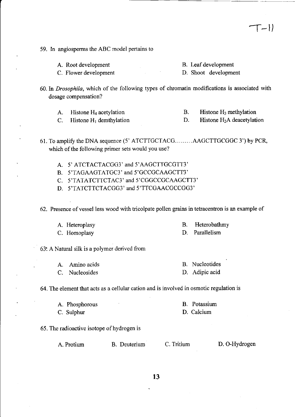- 59. In angiosperms the ABC model pertains to
	- A. Root development

C, Flower development

- 60. In *Drosophila*, which of the following types of chromatin modifications is associated with dosage compensation?
	- A. Histone  $H_4$  acetylation B. Histone  $H_3$  methylation

C. Histone  $H_1$  demthylation

61. To amplify the DNA sequence (5' ATCTTGCTACG.........AAGCTTGCGGC 3') by PCR, which of the following primer sets would you use?

- A. 5' ATCTACTACGG3' and 5'AAGCTTGCGTT3'
- B. 5'TAGAAGTATGC3' and 5'GCCGCAAGCTT3'
- C. S'TATATCTTCTAC3' and S'CGGCCGCAAGCTT3'
- D. S'TATCTTCTACGG3' and 5'TTCGAACGCCGG3'

62. Presence of vessel less wood with tricolpate pollen grains in tetracentron is an example of

A. Heteroplasy C. Homoplasy

D. Parallelism

63: A Natural silk is a polymer derived from

- A. Amino acids B. Nucleotides D. Adipic acid
- C. Nucleosides

64. The element that acts as a cellular cation and is involved in osmotic regulation is

- A. Phosphorous C. Sulphur B. Potassium D. Calcium
- 65. The radioactive isotope of hydrogen is

A. Protium B. Deuterium C. Tritium D. O-Hydrogen

 $T-1)$ 

B. Leaf development D. Shoot development

D. Histone H<sub>2</sub>A deacetylation

- B. Heterobathmy
	-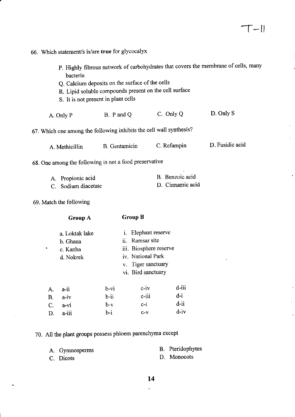|           | 66. Which statement/s is/are true for glycocalyx                                                                                                             |                      |                                                                                                                                   |                                     |                                                                                    |
|-----------|--------------------------------------------------------------------------------------------------------------------------------------------------------------|----------------------|-----------------------------------------------------------------------------------------------------------------------------------|-------------------------------------|------------------------------------------------------------------------------------|
|           | bacteria<br>Q. Calcium deposits on the surface of the cells<br>R. Lipid soluble compounds present on the cell surface<br>S. It is not present in plant cells |                      |                                                                                                                                   |                                     | P. Highly fibrous network of carbohydrates that covers the membrane of cells, many |
|           | A. Only P                                                                                                                                                    | B. P and Q           |                                                                                                                                   | C. Only Q                           | D. Only S                                                                          |
|           | 67. Which one among the following inhibits the cell wall synthesis?                                                                                          |                      |                                                                                                                                   |                                     |                                                                                    |
|           | A. Methicillin                                                                                                                                               | <b>B.</b> Gentamicin |                                                                                                                                   | C. Refampin                         | D. Fusidic acid                                                                    |
|           | 68. One among the following is not a food preservative                                                                                                       |                      |                                                                                                                                   |                                     |                                                                                    |
|           | A. Propionic acid<br>C. Sodium diacetate                                                                                                                     |                      |                                                                                                                                   | B. Benzoic acid<br>D. Cinnamic acid |                                                                                    |
|           | 69. Match the following                                                                                                                                      |                      |                                                                                                                                   |                                     |                                                                                    |
|           | <b>Group A</b>                                                                                                                                               | <b>Group B</b>       |                                                                                                                                   |                                     |                                                                                    |
|           | a. Loktak lake<br>b. Ghana<br>c. Kanha<br>d. Nokrek                                                                                                          |                      | i. Elephant reserve<br>ii. Ramsar site<br>iii. Biosphere reserve<br>iv. National Park<br>v. Tiger sanctuary<br>vi. Bird sanctuary |                                     |                                                                                    |
| A.        | a-ii                                                                                                                                                         | $b-vi$               | $c-iv$                                                                                                                            | d-iii                               |                                                                                    |
| <b>B.</b> | $a-iv$                                                                                                                                                       | $b$ -ii              | $c$ -iii                                                                                                                          | $d-i$                               |                                                                                    |
| C.<br>D.  | $a-vi$<br>a-iii                                                                                                                                              | $b-v$<br>$b-i$       | $c-i$<br>$C-V$                                                                                                                    | $d$ -ii<br>$d - iv$                 |                                                                                    |
|           | 70. All the plant groups possess phloem parenchyma except                                                                                                    |                      |                                                                                                                                   |                                     |                                                                                    |
|           |                                                                                                                                                              |                      |                                                                                                                                   |                                     |                                                                                    |
|           | A. Gymnosperms                                                                                                                                               |                      |                                                                                                                                   | B. Pteridophytes<br>D. Monocots     |                                                                                    |
|           | C. Dicots                                                                                                                                                    |                      |                                                                                                                                   |                                     |                                                                                    |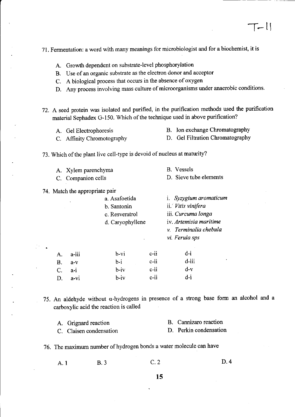71. Fermentation: a word with many meanings for microbiologist and for a biochemist, it is

- A. Growth dependent on substrate-level phosphorylation
- B. Use of an organic substrate as the electron donor and acceptor
- <sup>C</sup>. <sup>A</sup>biological process that occurs in the absence of oxygen
- <sup>D</sup>. Any process involving mass culture of microorganisms under anaerobic conditions.

72. A seed protein was isolated and purified, in the purification methods used the purification material Sephadex G-150. Which of the technique used in above purification?

- A. Gel Electrophoresis B. Ion exchange Chromatography
- C. Affinity Chromotography D. Gel Filtration Chromatography

73. Which of the plant live cell-type is devoid of nucleus at maturity?

A. Xylem parenchyma<br>
C. Companion cells
B. Vessels
D. Sieve tube elements C. Companion cells

#### 74. Match the appropriate pair

D. a-vi

|    |         | a. Asafoetida<br>b. Santonin<br>c. Resveratrol<br>d. Caryophyllene |         | i. Syzygium aromaticum<br>ii. Vitis vinifera<br>iii. Curcuma longa<br>iv. Artemisia maritime<br>v. Terminalia chebula<br>vi. Ferula sps |  |
|----|---------|--------------------------------------------------------------------|---------|-----------------------------------------------------------------------------------------------------------------------------------------|--|
| A. | a-iii   | $b-vi$                                                             | $c-ii$  | $d-i$                                                                                                                                   |  |
| Β. | $a-v$   | $b - i$                                                            | $c$ -ii | d-iii                                                                                                                                   |  |
| C. | $a - i$ | $b-iv$                                                             | $c$ -ii | $d-v$                                                                                                                                   |  |
|    |         |                                                                    |         |                                                                                                                                         |  |

75. An aldehyde without  $\alpha$ -hydrogens in presence of a strong base form an alcohol and a carboxylic acid the reaction is called

b-iv c-ii d-i

| A. Grignard reaction    | B. Cannizaro reaction  |
|-------------------------|------------------------|
| C. Claisen condensation | D. Perkin condensation |

76. The maximum number of hydrogen bonds a water molecule can have

c.2 A. 1 B. 3 C. 2 D. 4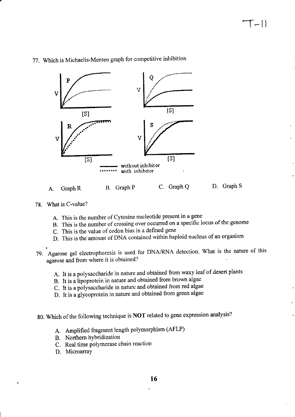

## 77. Which is Michaelis-Menten graph for competitive inhibition



- 78. What is C-value?
	- A. This is the number of Cytosine nucleotide present in a gene
	- B. This is the number of crossing over occurred on a specific locus of the genome
	- C. This is the value of codon bias in a defined gene
	- D. This is the amount of DNA contained within haploid nucleus of an organism
- Agarose gel electrophoresis is used for DNA/RNA detection. What is the nature of this agarose and from where it is obtained?
	- A. It is a polysaccharide in nature and obtained from waxy leaf of desert plants
	- B. It is a iipoprotein in nature and obtained from brown algae
	- C. tt is a polysaccharide in nature and obtained from red algae
	- D. It is a glycoprotein in nature and obtained from green algae
- g0. which of the following technique is NoT related to gene expression analysis?
	- A. Amplified fragment length polymorphism (AFLP)
	- B. Northem hYbridization
	- C. Real time polymerase chain reaction
	- D. Microarray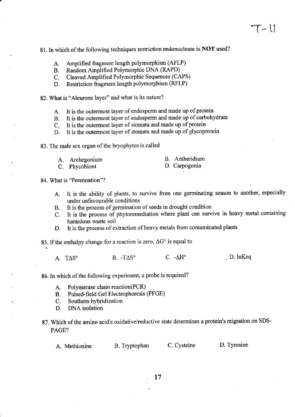- 81. In which of the following techniques restriction endonuclease is NOT used?
	- A. Amplified fragment length polymorphism (AFLP)
	- B. Random Amplified Polymorphic DNA (RAPD)<br>C. Cleaved Amplified Polymorphic Sequences (CA
	- C. Cleaved Amplified Polymorphic Sequences (CAPS)<br>D. Restriction fragment length polymorphism (RFLP)
	- Restriction fragment length polymorphism (RFLP)

82. What is "Aleurone layer" and what is its nature?

- A. It is the outermost layer of endosperm and made up of protein<br>B. It is the outermost layer of endosperm and made up of carbohy
- It is the outermost layer of endosperm and made up of carbohydrate
- C. It is the outermost layer of stomata and made up of protein
- D. It is the outermost layer of stomata and made up of glycoprotein

83. The male sex organ of the bryophyes is called

| A. Archegonium | B. Antheridium |
|----------------|----------------|
| C. Phycobiont  | D. Carpogonia  |
|                |                |

84. What is "Perennation"?

- A. It is the ability of plants, to survive from one germinating season to another, especially under unfavourable conditions
- B. . It is the process of germination of seeds in drought condition
- C. It is the process of phytoremediation where plant can survive in heavy metal containing harardous waste soil
- D. It is the process of extraction of heavy metals from contaminated plants
- 85. If the enthalpy change for a reaction is zero,  $\Delta G^{\circ}$  is equal to

A.  $T\Delta S^{\circ}$  B.  $-T\Delta S^{\circ}$  C.  $-\Delta H^{\circ}$  D. InKeq

86. In which of the following experiment, a probe is required?

- A. Polymerase chain reaction(PCR)
- B. Pulsed-field Gel Electrophoresis (PFGE)<br>C. Southern hybridization
- Southern hybridization
- D. DNA isolation
- 87. Which of the amino acid's oxidative/reductive state determines a protein's migration on SDS-PAGE?

A. Methionine B. Tryptophan C. Cysteine D. Tyrosine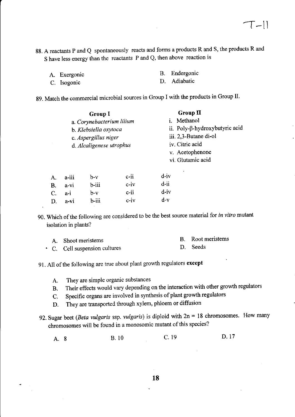88. A reactants P and Q spontaneously reacts and forms a products R and S, the products R and <sup>S</sup>have less energy than the reactants P and Q, then above reaction is

| A. Exergonic | B. Endergonic |
|--------------|---------------|
| C. Isogonic  | D. Adiabatic  |

g9. Match the commercial microbial sources in Group I with the products in Group II.

|    | Group I<br>a. Corynebacterium lilium<br>b. Klebsiella oxytoca<br>c. Aspergillus niger<br>d. Alcaligenese utrophus |          |         | <b>Group II</b><br>i. Methanol<br>ii. Poly-β-hydroxybutyric acid<br>iii. 2,3-Butane di-ol<br>iv. Citric acid<br>v. Acetophenone<br>vi. Glutamic acid |  |  |
|----|-------------------------------------------------------------------------------------------------------------------|----------|---------|------------------------------------------------------------------------------------------------------------------------------------------------------|--|--|
| A. | a-iii                                                                                                             | $b-v$    | $c$ -ii | div                                                                                                                                                  |  |  |
| B. | $a-vi$                                                                                                            | $b$ -iii | $c-iv$  | d-ii                                                                                                                                                 |  |  |
| C. | $a-i$                                                                                                             | $b-v$    | $c$ -ii | $d$ -iv                                                                                                                                              |  |  |
| D. | a-vi                                                                                                              | $b$ -iii | $c$ -iv | $d-v$                                                                                                                                                |  |  |

90. Which of the following are considered to be the best source material for in vitro mutant isolation in plants?

| A. Shoot meristems          | B. Root meristems |
|-----------------------------|-------------------|
| C. Cell suspension cultures | D. Seeds          |

91. All of the following are true about plant growth regulators except

- A. They are simple organic substances
- B. Their effects would vary depending on the interaction with other growth regulators
- C. Specific organs are involved in synthesis of plant growth regulators
- D. They are transported through xylem, phloem or diffusion
- 92. Sugar beet (Beta vulgaris ssp. vulgaris) is diploid with  $2n = 18$  chromosomes. How many chromosomes will be found in a monosomic mutant of this species?

A.8 B. l0 c. <sup>19</sup> D. <sup>17</sup>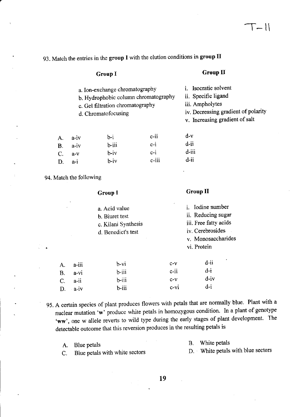## 93. Match the entries in the group I with the elution conditions in group lI

#### Group I

#### Group II

iv. Decreasing gradient of polarity v. Increasing gradient of salt

i. Isocratic solvent ii. Specific ligand iii. Ampholytes

a. Ion-exchange chromatography

b. Hydrophobic column chromatography

- c. Gel filtration chromatography
- d. Chromatofocusing

| a-iv  | $h-i$    | $c$ -ii  | $d-v$   |
|-------|----------|----------|---------|
| a-iv  | $b$ -iii | $c-i$    | $d$ -ii |
| $a-v$ | $b - iv$ | $c-i$    | d-iii   |
| $a-i$ | $b - iv$ | $c$ -iii | $d$ -ii |
|       |          |          |         |

94. Match the following

 $A.$  $B<sub>1</sub>$  $C<sub>1</sub>$ D. Group I

### Group II

|          | a. Acid value<br><b>b.</b> Biuret test<br>c. Kilani Synthesis<br>d. Benedict's test |          | <i>i.</i> Iodine number<br>ii. Reducing sugar<br>iii. Free fatty acids<br>iv. Cerebrosides<br>v. Monosaccharides<br>vi. Protein |  |  |
|----------|-------------------------------------------------------------------------------------|----------|---------------------------------------------------------------------------------------------------------------------------------|--|--|
| a-iii    | $b-vi$                                                                              | $c-v$    | $d$ -ii                                                                                                                         |  |  |
| a-vi     | $b$ -iii                                                                            | $c-ii$   | $d-i$                                                                                                                           |  |  |
| a-ii     | $b$ -iii                                                                            | $C-V$    | $d - iv$                                                                                                                        |  |  |
| $a - iv$ | $b$ -iii                                                                            | $c - vi$ | $d-i$                                                                                                                           |  |  |
|          |                                                                                     |          |                                                                                                                                 |  |  |

95. A certain species of plant produces flowers with petals that are normally blue. Plant with a nuclear mutation 'w' produce white petals in homozygous condition. In a plant of genotype 'ww', one w allele reverts to wild type during the early stages of plant development. The detectable outcome that this reversion produces in the resulting petals is

| A. Blue petals                    | B. White petals                   |
|-----------------------------------|-----------------------------------|
| C. Blue petals with white sectors | D. White petals with blue sectors |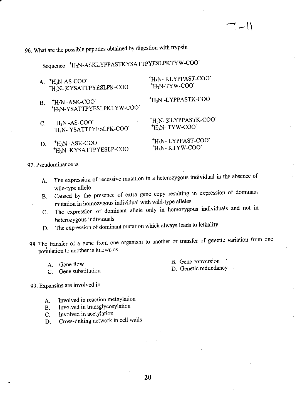# 96. What are the possible peptides obtained by digestion with trypsin

# Sequence \*H<sub>3</sub>N-ASKLYPPASTKYSATTPYESLPKTYW-COO\*

| A. | <sup>+</sup> H <sub>3</sub> N-AS-COO <sup>+</sup><br>'H <sub>3</sub> N-KYSATTPYESLPK-COO' | <sup>+</sup> H <sub>3</sub> N-KLYPPAST-COO <sup>-</sup><br><sup>+</sup> H <sub>3</sub> N-TYW-COO <sup>+</sup>   |
|----|-------------------------------------------------------------------------------------------|-----------------------------------------------------------------------------------------------------------------|
| Β. | $H_3N$ -ASK-COO<br>+H <sub>3</sub> N-YSATTPYESLPKTYW-COO'                                 | <sup>+</sup> H <sub>3</sub> N-LYPPASTK-COO <sup>+</sup>                                                         |
| C. | $H_3N$ -AS-COO<br><sup>+</sup> H <sub>3</sub> N-YSATTPYESLPK-COO                          | <sup>+</sup> H <sub>3</sub> N- KLYPPASTK-COO <sup>-</sup><br><sup>+</sup> H <sub>3</sub> N-TYW-COO <sup>+</sup> |
| D. | $H_3N$ -ASK-COO<br><sup>+</sup> H <sub>3</sub> N-KYSATTPYESLP-COO                         | <sup>+</sup> H <sub>3</sub> N-LYPPAST-COO<br><sup>+</sup> H <sub>3</sub> N-KTYW-COO                             |

### 97. Pseudominance is

- A. The expression of recessive mutation in a heterozygous individual in the absence of wile-type allele
- B. Caused by the presence of extra gene copy resulting in expression of dominant mutation in homozygous individual with wild-type alleles
- C. The expression of dominant allele only in homozygous individuals and not in heterozygous individuals
- D. The expression of dominant mutation which always leads to lethality
- 98. The transfer of a gene from one organism to another or transfer of genetic variation from one population to another is known as
	- A. Gene flow<br>C. Gene subst
		- Gene substitution

B. Gene conversion

D. Genetic redundancY

99. Expansins are involved in

- 
- A. Involved in reaction methylation<br>B. Involved in transglycosylation B. Involved in transglycosylation<br>C. Involved in acetylation
- Involved in acetylation
- D. Cross-linking network in cell walls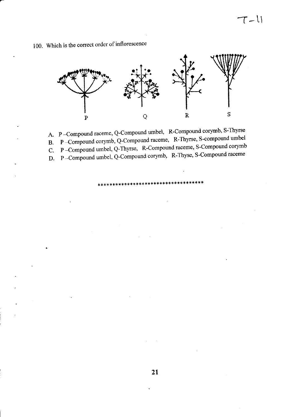$T-11$ 



100. Which is the correct order of inflorescence

A. P -Compound raceme, Q-Compound umbel, R-Compound corymb, S-Thyrse

P -Compound corymb, Q-Compound raceme, R-Thyrse, S-compound umbel B.

P -Compound umbel, Q-Thyrse, R-Compound raceme, S-Compound corymb C.

P -Compound umbel, Q-Compound corymb, R-Thyse, S-Compound raceme D.

:t {,,\*,tt \* \*\* \*:f {.\*\*\*\*\*\*\*\*\*:}\*\*\*\*\* 'l'\*\*\*\*\*\*\*+\*\*